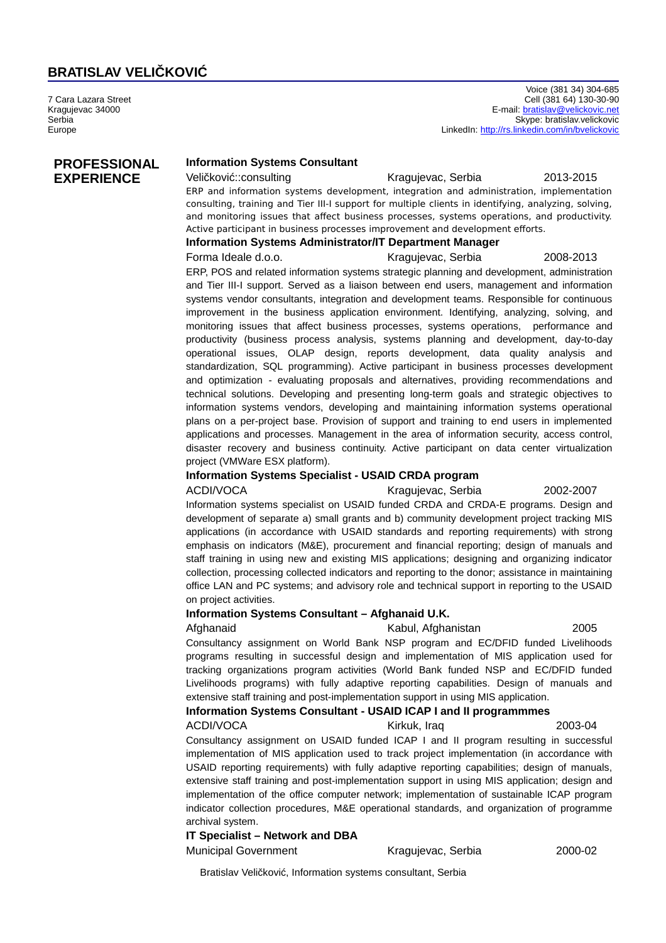# **BRATISLAV VELIČKOVIĆ**

7 Cara Lazara Street Kragujevac 34000 Serbia Europe

**PROFESSIONAL EXPERIENCE**

## **Information Systems Consultant**

### Veličković::consulting Kragujevac, Serbia 2013-2015

ERP and information systems development, integration and administration, implementation consulting, training and Tier III-I support for multiple clients in identifying, analyzing, solving, and monitoring issues that affect business processes, systems operations, and productivity. Active participant in business processes improvement and development efforts.

## **Information Systems Administrator/IT Department Manager**

Forma Ideale d.o.o. **Kragujevac, Serbia** 2008-2013

ERP, POS and related information systems strategic planning and development, administration and Tier III-I support. Served as a liaison between end users, management and information systems vendor consultants, integration and development teams. Responsible for continuous improvement in the business application environment. Identifying, analyzing, solving, and monitoring issues that affect business processes, systems operations, performance and productivity (business process analysis, systems planning and development, day-to-day operational issues, OLAP design, reports development, data quality analysis and standardization, SQL programming). Active participant in business processes development and optimization - evaluating proposals and alternatives, providing recommendations and technical solutions. Developing and presenting long-term goals and strategic objectives to information systems vendors, developing and maintaining information systems operational plans on a per-project base. Provision of support and training to end users in implemented applications and processes. Management in the area of information security, access control, disaster recovery and business continuity. Active participant on data center virtualization project (VMWare ESX platform).

## **Information Systems Specialist - USAID CRDA program**

ACDI/VOCA Kragujevac, Serbia 2002-2007

Information systems specialist on USAID funded CRDA and CRDA-E programs. Design and development of separate a) small grants and b) community development project tracking MIS applications (in accordance with USAID standards and reporting requirements) with strong emphasis on indicators (M&E), procurement and financial reporting; design of manuals and staff training in using new and existing MIS applications; designing and organizing indicator collection, processing collected indicators and reporting to the donor; assistance in maintaining office LAN and PC systems; and advisory role and technical support in reporting to the USAID on project activities.

#### **Information Systems Consultant – Afghanaid U.K.**

## Afghanaid Kabul, Afghanistan 2005 Consultancy assignment on World Bank NSP program and EC/DFID funded Livelihoods programs resulting in successful design and implementation of MIS application used for tracking organizations program activities (World Bank funded NSP and EC/DFID funded Livelihoods programs) with fully adaptive reporting capabilities. Design of manuals and extensive staff training and post-implementation support in using MIS application.

# **Information Systems Consultant - USAID ICAP I and II programmmes**

# ACDI/VOCA **Kirkuk, Iraq 2003-04**

Consultancy assignment on USAID funded ICAP I and II program resulting in successful implementation of MIS application used to track project implementation (in accordance with USAID reporting requirements) with fully adaptive reporting capabilities; design of manuals, extensive staff training and post-implementation support in using MIS application; design and implementation of the office computer network; implementation of sustainable ICAP program indicator collection procedures, M&E operational standards, and organization of programme archival system.

#### **IT Specialist – Network and DBA**

Municipal Government Kragujevac, Serbia 2000-02

Bratislav Veličković, Information systems consultant, Serbia